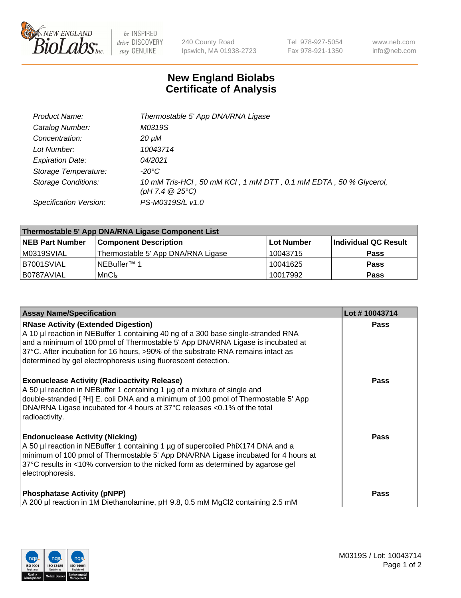

 $be$  INSPIRED drive DISCOVERY stay GENUINE

240 County Road Ipswich, MA 01938-2723 Tel 978-927-5054 Fax 978-921-1350 www.neb.com info@neb.com

## **New England Biolabs Certificate of Analysis**

| Product Name:              | Thermostable 5' App DNA/RNA Ligase                                                    |
|----------------------------|---------------------------------------------------------------------------------------|
| Catalog Number:            | M0319S                                                                                |
| Concentration:             | 20 µM                                                                                 |
| Lot Number:                | 10043714                                                                              |
| <b>Expiration Date:</b>    | 04/2021                                                                               |
| Storage Temperature:       | -20°C                                                                                 |
| <b>Storage Conditions:</b> | 10 mM Tris-HCl, 50 mM KCl, 1 mM DTT, 0.1 mM EDTA, 50 % Glycerol,<br>(pH 7.4 $@25°C$ ) |
| Specification Version:     | PS-M0319S/L v1.0                                                                      |

| Thermostable 5' App DNA/RNA Ligase Component List |                                    |             |                      |  |  |
|---------------------------------------------------|------------------------------------|-------------|----------------------|--|--|
| <b>NEB Part Number</b>                            | <b>Component Description</b>       | ∣Lot Number | Individual QC Result |  |  |
| M0319SVIAL                                        | Thermostable 5' App DNA/RNA Ligase | 10043715    | <b>Pass</b>          |  |  |
| B7001SVIAL                                        | <sup>1</sup> NEBuffer™ 1           | 10041625    | <b>Pass</b>          |  |  |
| B0787AVIAL                                        | MnCl <sub>2</sub>                  | 10017992    | <b>Pass</b>          |  |  |

| <b>Assay Name/Specification</b>                                                                                                                                                                                                                                                                                                                                          | Lot #10043714 |
|--------------------------------------------------------------------------------------------------------------------------------------------------------------------------------------------------------------------------------------------------------------------------------------------------------------------------------------------------------------------------|---------------|
| <b>RNase Activity (Extended Digestion)</b><br>A 10 µl reaction in NEBuffer 1 containing 40 ng of a 300 base single-stranded RNA<br>and a minimum of 100 pmol of Thermostable 5' App DNA/RNA Ligase is incubated at<br>37°C. After incubation for 16 hours, >90% of the substrate RNA remains intact as<br>determined by gel electrophoresis using fluorescent detection. | <b>Pass</b>   |
| <b>Exonuclease Activity (Radioactivity Release)</b><br>A 50 µl reaction in NEBuffer 1 containing 1 µg of a mixture of single and<br>double-stranded [3H] E. coli DNA and a minimum of 100 pmol of Thermostable 5' App<br>DNA/RNA Ligase incubated for 4 hours at 37°C releases <0.1% of the total<br>radioactivity.                                                      | <b>Pass</b>   |
| <b>Endonuclease Activity (Nicking)</b><br>A 50 µl reaction in NEBuffer 1 containing 1 µg of supercoiled PhiX174 DNA and a<br>minimum of 100 pmol of Thermostable 5' App DNA/RNA Ligase incubated for 4 hours at<br>37°C results in <10% conversion to the nicked form as determined by agarose gel<br>electrophoresis.                                                   | Pass          |
| <b>Phosphatase Activity (pNPP)</b><br>A 200 µl reaction in 1M Diethanolamine, pH 9.8, 0.5 mM MgCl2 containing 2.5 mM                                                                                                                                                                                                                                                     | <b>Pass</b>   |